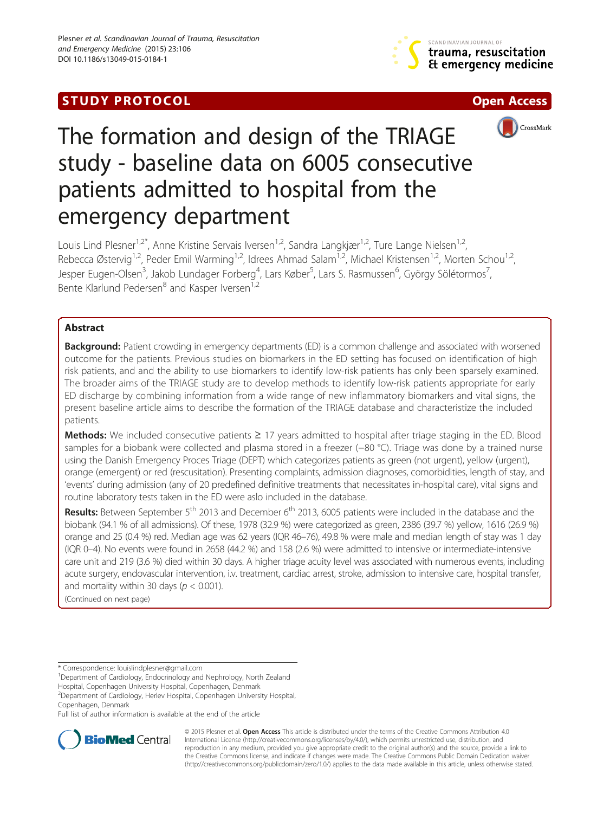# **STUDY PROTOCOL CONSUMING THE CONSUMING OPEN ACCESS**







# The formation and design of the TRIAGE study - baseline data on 6005 consecutive patients admitted to hospital from the emergency department

Louis Lind Plesner<sup>1,2\*</sup>, Anne Kristine Servais Iversen<sup>1,2</sup>, Sandra Langkjær<sup>1,2</sup>, Ture Lange Nielsen<sup>1,2</sup>, Rebecca Østervig<sup>1,2</sup>, Peder Emil Warming<sup>1,2</sup>, Idrees Ahmad Salam<sup>1,2</sup>, Michael Kristensen<sup>1,2</sup>, Morten Schou<sup>1,2</sup>, Jesper Eugen-Olsen<sup>3</sup>, Jakob Lundager Forberg<sup>4</sup>, Lars Køber<sup>5</sup>, Lars S. Rasmussen<sup>6</sup>, György Sölétormos<sup>7</sup> , Bente Klarlund Pedersen<sup>8</sup> and Kasper Iversen<sup>1,2</sup>

# Abstract

Background: Patient crowding in emergency departments (ED) is a common challenge and associated with worsened outcome for the patients. Previous studies on biomarkers in the ED setting has focused on identification of high risk patients, and and the ability to use biomarkers to identify low-risk patients has only been sparsely examined. The broader aims of the TRIAGE study are to develop methods to identify low-risk patients appropriate for early ED discharge by combining information from a wide range of new inflammatory biomarkers and vital signs, the present baseline article aims to describe the formation of the TRIAGE database and characteristize the included patients.

Methods: We included consecutive patients ≥ 17 years admitted to hospital after triage staging in the ED. Blood samples for a biobank were collected and plasma stored in a freezer (−80 °C). Triage was done by a trained nurse using the Danish Emergency Proces Triage (DEPT) which categorizes patients as green (not urgent), yellow (urgent), orange (emergent) or red (rescusitation). Presenting complaints, admission diagnoses, comorbidities, length of stay, and 'events' during admission (any of 20 predefined definitive treatments that necessitates in-hospital care), vital signs and routine laboratory tests taken in the ED were aslo included in the database.

Results: Between September 5<sup>th</sup> 2013 and December 6<sup>th</sup> 2013, 6005 patients were included in the database and the biobank (94.1 % of all admissions). Of these, 1978 (32.9 %) were categorized as green, 2386 (39.7 %) yellow, 1616 (26.9 %) orange and 25 (0.4 %) red. Median age was 62 years (IQR 46–76), 49.8 % were male and median length of stay was 1 day (IQR 0–4). No events were found in 2658 (44.2 %) and 158 (2.6 %) were admitted to intensive or intermediate-intensive care unit and 219 (3.6 %) died within 30 days. A higher triage acuity level was associated with numerous events, including acute surgery, endovascular intervention, i.v. treatment, cardiac arrest, stroke, admission to intensive care, hospital transfer, and mortality within 30 days ( $p < 0.001$ ).

(Continued on next page)

<sup>1</sup>Department of Cardiology, Endocrinology and Nephrology, North Zealand

Hospital, Copenhagen University Hospital, Copenhagen, Denmark 2 Department of Cardiology, Herlev Hospital, Copenhagen University Hospital,

Copenhagen, Denmark

Full list of author information is available at the end of the article



© 2015 Plesner et al. Open Access This article is distributed under the terms of the Creative Commons Attribution 4.0 International License [\(http://creativecommons.org/licenses/by/4.0/](http://creativecommons.org/licenses/by/4.0/)), which permits unrestricted use, distribution, and reproduction in any medium, provided you give appropriate credit to the original author(s) and the source, provide a link to the Creative Commons license, and indicate if changes were made. The Creative Commons Public Domain Dedication waiver [\(http://creativecommons.org/publicdomain/zero/1.0/](http://creativecommons.org/publicdomain/zero/1.0/)) applies to the data made available in this article, unless otherwise stated.

<sup>\*</sup> Correspondence: [louislindplesner@gmail.com](mailto:louislindplesner@gmail.com) <sup>1</sup>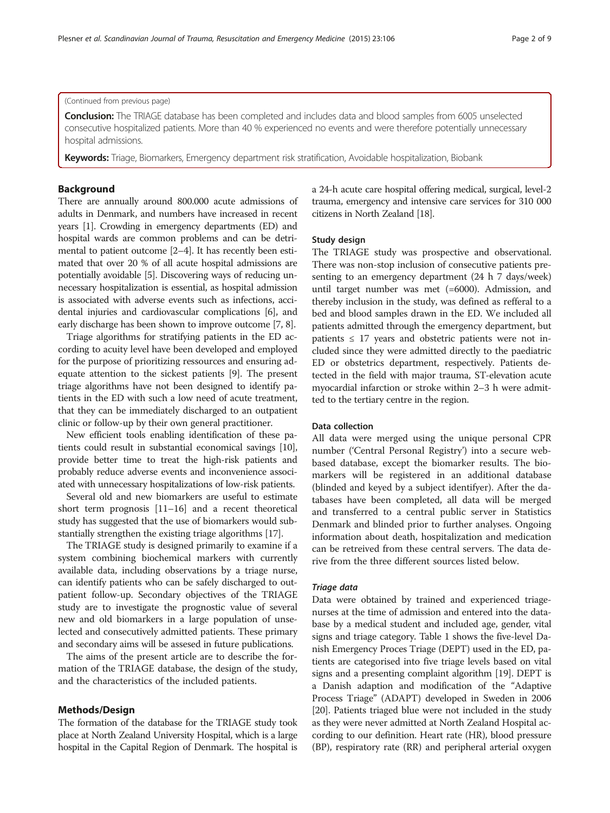#### (Continued from previous page)

Conclusion: The TRIAGE database has been completed and includes data and blood samples from 6005 unselected consecutive hospitalized patients. More than 40 % experienced no events and were therefore potentially unnecessary hospital admissions.

Keywords: Triage, Biomarkers, Emergency department risk stratification, Avoidable hospitalization, Biobank

# Background

There are annually around 800.000 acute admissions of adults in Denmark, and numbers have increased in recent years [[1\]](#page-7-0). Crowding in emergency departments (ED) and hospital wards are common problems and can be detrimental to patient outcome [\[2](#page-7-0)–[4](#page-7-0)]. It has recently been estimated that over 20 % of all acute hospital admissions are potentially avoidable [\[5\]](#page-7-0). Discovering ways of reducing unnecessary hospitalization is essential, as hospital admission is associated with adverse events such as infections, accidental injuries and cardiovascular complications [\[6](#page-7-0)], and early discharge has been shown to improve outcome [\[7](#page-7-0), [8\]](#page-7-0).

Triage algorithms for stratifying patients in the ED according to acuity level have been developed and employed for the purpose of prioritizing ressources and ensuring adequate attention to the sickest patients [[9](#page-7-0)]. The present triage algorithms have not been designed to identify patients in the ED with such a low need of acute treatment, that they can be immediately discharged to an outpatient clinic or follow-up by their own general practitioner.

New efficient tools enabling identification of these patients could result in substantial economical savings [\[10](#page-8-0)], provide better time to treat the high-risk patients and probably reduce adverse events and inconvenience associated with unnecessary hospitalizations of low-risk patients.

Several old and new biomarkers are useful to estimate short term prognosis [\[11](#page-8-0)–[16](#page-8-0)] and a recent theoretical study has suggested that the use of biomarkers would substantially strengthen the existing triage algorithms [\[17\]](#page-8-0).

The TRIAGE study is designed primarily to examine if a system combining biochemical markers with currently available data, including observations by a triage nurse, can identify patients who can be safely discharged to outpatient follow-up. Secondary objectives of the TRIAGE study are to investigate the prognostic value of several new and old biomarkers in a large population of unselected and consecutively admitted patients. These primary and secondary aims will be assesed in future publications.

The aims of the present article are to describe the formation of the TRIAGE database, the design of the study, and the characteristics of the included patients.

# Methods/Design

The formation of the database for the TRIAGE study took place at North Zealand University Hospital, which is a large hospital in the Capital Region of Denmark. The hospital is a 24-h acute care hospital offering medical, surgical, level-2 trauma, emergency and intensive care services for 310 000 citizens in North Zealand [\[18](#page-8-0)].

# Study design

The TRIAGE study was prospective and observational. There was non-stop inclusion of consecutive patients presenting to an emergency department (24 h 7 days/week) until target number was met (=6000). Admission, and thereby inclusion in the study, was defined as refferal to a bed and blood samples drawn in the ED. We included all patients admitted through the emergency department, but patients  $\leq$  17 years and obstetric patients were not included since they were admitted directly to the paediatric ED or obstetrics department, respectively. Patients detected in the field with major trauma, ST-elevation acute myocardial infarction or stroke within 2–3 h were admitted to the tertiary centre in the region.

## Data collection

All data were merged using the unique personal CPR number ('Central Personal Registry') into a secure webbased database, except the biomarker results. The biomarkers will be registered in an additional database (blinded and keyed by a subject identifyer). After the databases have been completed, all data will be merged and transferred to a central public server in Statistics Denmark and blinded prior to further analyses. Ongoing information about death, hospitalization and medication can be retreived from these central servers. The data derive from the three different sources listed below.

## Triage data

Data were obtained by trained and experienced triagenurses at the time of admission and entered into the database by a medical student and included age, gender, vital signs and triage category. Table [1](#page-2-0) shows the five-level Danish Emergency Proces Triage (DEPT) used in the ED, patients are categorised into five triage levels based on vital signs and a presenting complaint algorithm [[19](#page-8-0)]. DEPT is a Danish adaption and modification of the "Adaptive Process Triage" (ADAPT) developed in Sweden in 2006 [[20](#page-8-0)]. Patients triaged blue were not included in the study as they were never admitted at North Zealand Hospital according to our definition. Heart rate (HR), blood pressure (BP), respiratory rate (RR) and peripheral arterial oxygen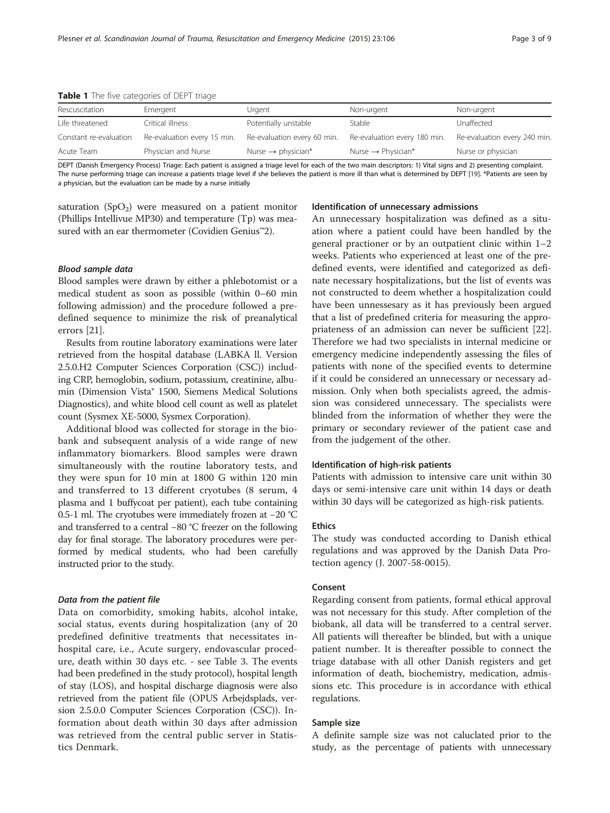<span id="page-2-0"></span>Table 1 The five categories of DEPT triage

| Rescuscitation         | Emergent                    | Urgent                         | Non-urgent                     | Non-urgent                   |
|------------------------|-----------------------------|--------------------------------|--------------------------------|------------------------------|
| Life threatened        | Critical illness            | Potentially unstable           | Stable                         | Unaffected                   |
| Constant re-evaluation | Re-evaluation every 15 min. | Re-evaluation every 60 min.    | Re-evaluation every 180 min.   | Re-evaluation every 240 min. |
| Acute Team             | Physician and Nurse         | Nurse $\rightarrow$ physician* | Nurse $\rightarrow$ Physician* | Nurse or physician           |
|                        |                             |                                |                                |                              |

DEPT (Danish Emergency Process) Triage: Each patient is assigned a triage level for each of the two main descriptors: 1) Vital signs and 2) presenting complaint. The nurse performing triage can increase a patients triage level if she believes the patient is more ill than what is determined by DEPT [[19\]](#page-8-0). \*Patients are seen by a physician, but the evaluation can be made by a nurse initially

saturation  $(SpO<sub>2</sub>)$  were measured on a patient monitor (Phillips Intellivue MP30) and temperature (Tp) was measured with an ear thermometer (Covidien Genius™2).

# Blood sample data

Blood samples were drawn by either a phlebotomist or a medical student as soon as possible (within 0–60 min following admission) and the procedure followed a predefined sequence to minimize the risk of preanalytical errors [\[21\]](#page-8-0).

Results from routine laboratory examinations were later retrieved from the hospital database (LABKA ll. Version 2.5.0.H2 Computer Sciences Corporation (CSC)) including CRP, hemoglobin, sodium, potassium, creatinine, albumin (Dimension Vista® 1500, Siemens Medical Solutions Diagnostics), and white blood cell count as well as platelet count (Sysmex XE-5000, Sysmex Corporation).

Additional blood was collected for storage in the biobank and subsequent analysis of a wide range of new inflammatory biomarkers. Blood samples were drawn simultaneously with the routine laboratory tests, and they were spun for 10 min at 1800 G within 120 min and transferred to 13 different cryotubes (8 serum, 4 plasma and 1 buffycoat per patient), each tube containing 0.5-1 ml. The cryotubes were immediately frozen at −20 °C and transferred to a central −80 °C freezer on the following day for final storage. The laboratory procedures were performed by medical students, who had been carefully instructed prior to the study.

#### Data from the patient file

Data on comorbidity, smoking habits, alcohol intake, social status, events during hospitalization (any of 20 predefined definitive treatments that necessitates inhospital care, i.e., Acute surgery, endovascular procedure, death within 30 days etc. - see Table [3](#page-6-0). The events had been predefined in the study protocol), hospital length of stay (LOS), and hospital discharge diagnosis were also retrieved from the patient file (OPUS Arbejdsplads, version 2.5.0.0 Computer Sciences Corporation (CSC)). Information about death within 30 days after admission was retrieved from the central public server in Statistics Denmark.

### Identification of unnecessary admissions

An unnecessary hospitalization was defined as a situation where a patient could have been handled by the general practioner or by an outpatient clinic within 1–2 weeks. Patients who experienced at least one of the predefined events, were identified and categorized as definate necessary hospitalizations, but the list of events was not constructed to deem whether a hospitalization could have been unnessesary as it has previously been argued that a list of predefined criteria for measuring the appropriateness of an admission can never be sufficient [\[22](#page-8-0)]. Therefore we had two specialists in internal medicine or emergency medicine independently assessing the files of patients with none of the specified events to determine if it could be considered an unnecessary or necessary admission. Only when both specialists agreed, the admission was considered unnecessary. The specialists were blinded from the information of whether they were the primary or secondary reviewer of the patient case and from the judgement of the other.

#### Identification of high-risk patients

Patients with admission to intensive care unit within 30 days or semi-intensive care unit within 14 days or death within 30 days will be categorized as high-risk patients.

# Ethics

The study was conducted according to Danish ethical regulations and was approved by the Danish Data Protection agency (J. 2007-58-0015).

# Consent

Regarding consent from patients, formal ethical approval was not necessary for this study. After completion of the biobank, all data will be transferred to a central server. All patients will thereafter be blinded, but with a unique patient number. It is thereafter possible to connect the triage database with all other Danish registers and get information of death, biochemistry, medication, admissions etc. This procedure is in accordance with ethical regulations.

#### Sample size

A definite sample size was not caluclated prior to the study, as the percentage of patients with unnecessary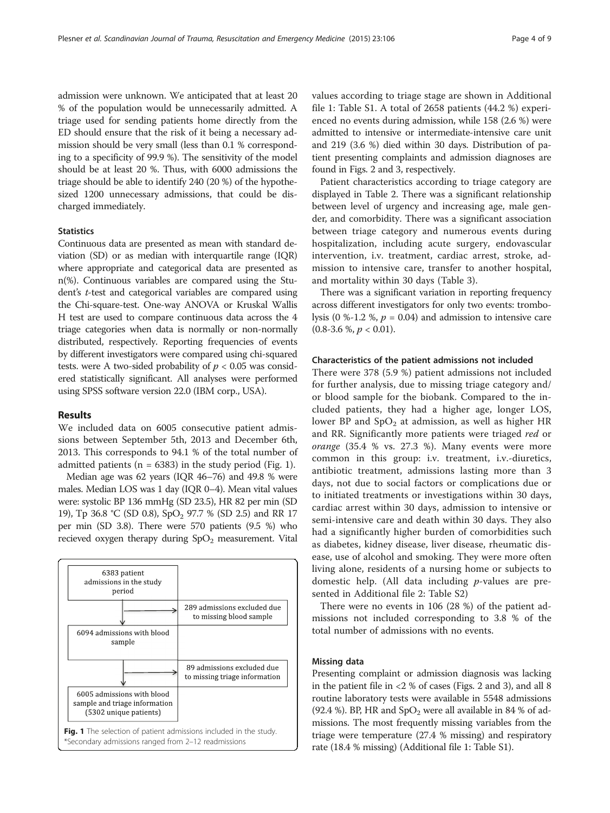admission were unknown. We anticipated that at least 20 % of the population would be unnecessarily admitted. A triage used for sending patients home directly from the ED should ensure that the risk of it being a necessary admission should be very small (less than 0.1 % corresponding to a specificity of 99.9 %). The sensitivity of the model should be at least 20 %. Thus, with 6000 admissions the triage should be able to identify 240 (20 %) of the hypothesized 1200 unnecessary admissions, that could be discharged immediately.

# **Statistics**

Continuous data are presented as mean with standard deviation (SD) or as median with interquartile range (IQR) where appropriate and categorical data are presented as n(%). Continuous variables are compared using the Student's t-test and categorical variables are compared using the Chi-square-test. One-way ANOVA or Kruskal Wallis H test are used to compare continuous data across the 4 triage categories when data is normally or non-normally distributed, respectively. Reporting frequencies of events by different investigators were compared using chi-squared tests. were A two-sided probability of  $p < 0.05$  was considered statistically significant. All analyses were performed using SPSS software version 22.0 (IBM corp., USA).

# Results

We included data on 6005 consecutive patient admissions between September 5th, 2013 and December 6th, 2013. This corresponds to 94.1 % of the total number of admitted patients ( $n = 6383$ ) in the study period (Fig. 1).

Median age was 62 years (IQR 46–76) and 49.8 % were males. Median LOS was 1 day (IQR 0–4). Mean vital values were: systolic BP 136 mmHg (SD 23.5), HR 82 per min (SD 19), Tp 36.8 °C (SD 0.8), SpO<sub>2</sub> 97.7 % (SD 2.5) and RR 17 per min (SD 3.8). There were 570 patients (9.5 %) who recieved oxygen therapy during  $SpO<sub>2</sub>$  measurement. Vital



values according to triage stage are shown in Additional file [1](#page-7-0): Table S1. A total of 2658 patients (44.2 %) experienced no events during admission, while 158 (2.6 %) were admitted to intensive or intermediate-intensive care unit and 219 (3.6 %) died within 30 days. Distribution of patient presenting complaints and admission diagnoses are found in Figs. [2](#page-4-0) and [3](#page-4-0), respectively.

Patient characteristics according to triage category are displayed in Table [2.](#page-5-0) There was a significant relationship between level of urgency and increasing age, male gender, and comorbidity. There was a significant association between triage category and numerous events during hospitalization, including acute surgery, endovascular intervention, i.v. treatment, cardiac arrest, stroke, admission to intensive care, transfer to another hospital, and mortality within 30 days (Table [3](#page-6-0)).

There was a significant variation in reporting frequency across different investigators for only two events: trombolysis (0 %-1.2 %,  $p = 0.04$ ) and admission to intensive care  $(0.8-3.6\%, p < 0.01).$ 

#### Characteristics of the patient admissions not included

There were 378 (5.9 %) patient admissions not included for further analysis, due to missing triage category and/ or blood sample for the biobank. Compared to the included patients, they had a higher age, longer LOS, lower BP and  $SpO<sub>2</sub>$  at admission, as well as higher HR and RR. Significantly more patients were triaged red or orange (35.4 % vs. 27.3 %). Many events were more common in this group: i.v. treatment, i.v.-diuretics, antibiotic treatment, admissions lasting more than 3 days, not due to social factors or complications due or to initiated treatments or investigations within 30 days, cardiac arrest within 30 days, admission to intensive or semi-intensive care and death within 30 days. They also had a significantly higher burden of comorbidities such as diabetes, kidney disease, liver disease, rheumatic disease, use of alcohol and smoking. They were more often living alone, residents of a nursing home or subjects to domestic help. (All data including p-values are presented in Additional file [2](#page-7-0): Table S2)

There were no events in 106 (28 %) of the patient admissions not included corresponding to 3.8 % of the total number of admissions with no events.

#### Missing data

Presenting complaint or admission diagnosis was lacking in the patient file in <2 % of cases (Figs. [2](#page-4-0) and [3](#page-4-0)), and all 8 routine laboratory tests were available in 5548 admissions (92.4 %). BP, HR and  $SpO<sub>2</sub>$  were all available in 84 % of admissions. The most frequently missing variables from the triage were temperature (27.4 % missing) and respiratory rate (18.4 % missing) (Additional file [1:](#page-7-0) Table S1).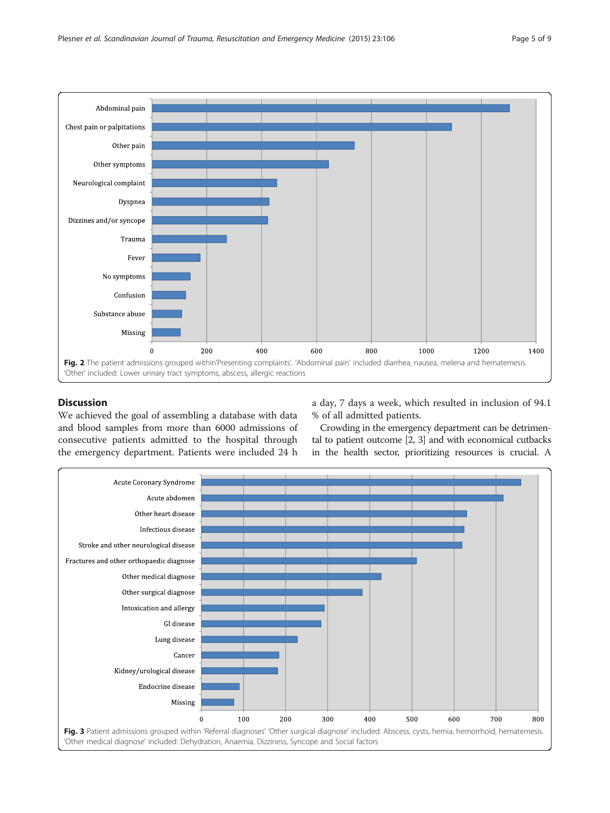<span id="page-4-0"></span>

# Discussion

We achieved the goal of assembling a database with data and blood samples from more than 6000 admissions of consecutive patients admitted to the hospital through the emergency department. Patients were included 24 h a day, 7 days a week, which resulted in inclusion of 94.1 % of all admitted patients.

Crowding in the emergency department can be detrimental to patient outcome [[2](#page-7-0), [3\]](#page-7-0) and with economical cutbacks in the health sector, prioritizing resources is crucial. A

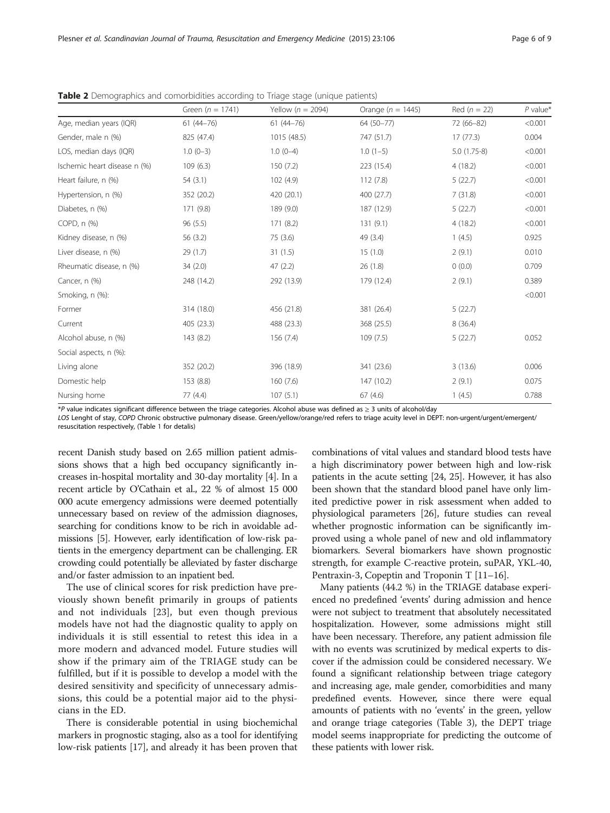|                              | Green ( $n = 1741$ ) | Yellow ( $n = 2094$ ) | Orange $(n = 1445)$ | Red $(n = 22)$ | $P$ value* |
|------------------------------|----------------------|-----------------------|---------------------|----------------|------------|
| Age, median years (IQR)      | $61(44 - 76)$        | $61(44 - 76)$         | 64 (50-77)          | 72 (66-82)     | < 0.001    |
| Gender, male n (%)           | 825 (47.4)           | 1015 (48.5)           | 747 (51.7)          | 17(77.3)       | 0.004      |
| LOS, median days (IQR)       | $1.0(0-3)$           | $1.0(0-4)$            | $1.0(1-5)$          | $5.0(1.75-8)$  | < 0.001    |
| Ischemic heart disease n (%) | 109(6.3)             | 150 (7.2)             | 223 (15.4)          | 4(18.2)        | < 0.001    |
| Heart failure, n (%)         | 54(3.1)              | 102 (4.9)             | 112(7.8)            | 5(22.7)        | < 0.001    |
| Hypertension, n (%)          | 352 (20.2)           | 420 (20.1)            | 400 (27.7)          | 7(31.8)        | < 0.001    |
| Diabetes, n (%)              | 171 (9.8)            | 189 (9.0)             | 187 (12.9)          | 5(22.7)        | < 0.001    |
| COPD, n (%)                  | 96(5.5)              | 171(8.2)              | 131(9.1)            | 4(18.2)        | < 0.001    |
| Kidney disease, n (%)        | 56(3.2)              | 75 (3.6)              | 49 (3.4)            | 1(4.5)         | 0.925      |
| Liver disease, n (%)         | 29 (1.7)             | 31(1.5)               | 15(1.0)             | 2(9.1)         | 0.010      |
| Rheumatic disease, n (%)     | 34(2.0)              | 47(2.2)               | 26(1.8)             | 0(0.0)         | 0.709      |
| Cancer, n (%)                | 248 (14.2)           | 292 (13.9)            | 179 (12.4)          | 2(9.1)         | 0.389      |
| Smoking, n (%):              |                      |                       |                     |                | < 0.001    |
| Former                       | 314 (18.0)           | 456 (21.8)            | 381 (26.4)          | 5(22.7)        |            |
| Current                      | 405 (23.3)           | 488 (23.3)            | 368 (25.5)          | 8(36.4)        |            |
| Alcohol abuse, n (%)         | 143 (8.2)            | 156 (7.4)             | 109(7.5)            | 5(22.7)        | 0.052      |
| Social aspects, n (%):       |                      |                       |                     |                |            |
| Living alone                 | 352 (20.2)           | 396 (18.9)            | 341 (23.6)          | 3(13.6)        | 0.006      |
| Domestic help                | 153 (8.8)            | 160(7.6)              | 147 (10.2)          | 2(9.1)         | 0.075      |
| Nursing home                 | 77 (4.4)             | 107(5.1)              | 67(4.6)             | 1(4.5)         | 0.788      |

<span id="page-5-0"></span>**Table 2** Demographics and comorbidities according to Triage stage (unique patients)

\*P value indicates significant difference between the triage categories. Alcohol abuse was defined as ≥ 3 units of alcohol/day

LOS Lenght of stay, COPD Chronic obstructive pulmonary disease. Green/yellow/orange/red refers to triage acuity level in DEPT: non-urgent/urgent/emergent/ resuscitation respectively, (Table [1](#page-2-0) for detalis)

recent Danish study based on 2.65 million patient admissions shows that a high bed occupancy significantly increases in-hospital mortality and 30-day mortality [\[4](#page-7-0)]. In a recent article by O'Cathain et al., 22 % of almost 15 000 000 acute emergency admissions were deemed potentially unnecessary based on review of the admission diagnoses, searching for conditions know to be rich in avoidable admissions [[5](#page-7-0)]. However, early identification of low-risk patients in the emergency department can be challenging. ER crowding could potentially be alleviated by faster discharge and/or faster admission to an inpatient bed.

The use of clinical scores for risk prediction have previously shown benefit primarily in groups of patients and not individuals [[23\]](#page-8-0), but even though previous models have not had the diagnostic quality to apply on individuals it is still essential to retest this idea in a more modern and advanced model. Future studies will show if the primary aim of the TRIAGE study can be fulfilled, but if it is possible to develop a model with the desired sensitivity and specificity of unnecessary admissions, this could be a potential major aid to the physicians in the ED.

There is considerable potential in using biochemichal markers in prognostic staging, also as a tool for identifying low-risk patients [[17](#page-8-0)], and already it has been proven that

combinations of vital values and standard blood tests have a high discriminatory power between high and low-risk patients in the acute setting [[24, 25\]](#page-8-0). However, it has also been shown that the standard blood panel have only limited predictive power in risk assessment when added to physiological parameters [\[26\]](#page-8-0), future studies can reveal whether prognostic information can be significantly improved using a whole panel of new and old inflammatory biomarkers. Several biomarkers have shown prognostic strength, for example C-reactive protein, suPAR, YKL-40, Pentraxin-3, Copeptin and Troponin T [[11](#page-8-0)–[16\]](#page-8-0).

Many patients (44.2 %) in the TRIAGE database experienced no predefined 'events' during admission and hence were not subject to treatment that absolutely necessitated hospitalization. However, some admissions might still have been necessary. Therefore, any patient admission file with no events was scrutinized by medical experts to discover if the admission could be considered necessary. We found a significant relationship between triage category and increasing age, male gender, comorbidities and many predefined events. However, since there were equal amounts of patients with no 'events' in the green, yellow and orange triage categories (Table [3\)](#page-6-0), the DEPT triage model seems inappropriate for predicting the outcome of these patients with lower risk.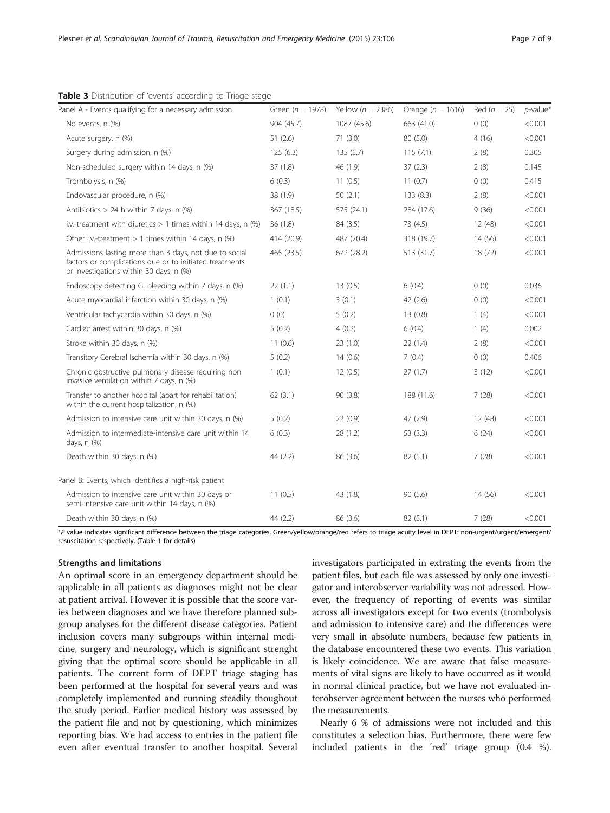| Panel A - Events qualifying for a necessary admission                                                                                                        | Green ( $n = 1978$ ) | Yellow ( $n = 2386$ ) | Orange ( $n = 1616$ ) | Red $(n = 25)$ | $p$ -value* |
|--------------------------------------------------------------------------------------------------------------------------------------------------------------|----------------------|-----------------------|-----------------------|----------------|-------------|
| No events, n (%)                                                                                                                                             | 904 (45.7)           | 1087 (45.6)           | 663 (41.0)            | 0(0)           | < 0.001     |
| Acute surgery, n (%)                                                                                                                                         | 51(2.6)              | 71(3.0)               | 80(5.0)               | 4(16)          | < 0.001     |
| Surgery during admission, n (%)                                                                                                                              | 125(6.3)             | 135(5.7)              | 115(7.1)              | 2(8)           | 0.305       |
| Non-scheduled surgery within 14 days, n (%)                                                                                                                  | 37(1.8)              | 46 (1.9)              | 37(2.3)               | 2(8)           | 0.145       |
| Trombolysis, n (%)                                                                                                                                           | 6(0.3)               | 11(0.5)               | 11(0.7)               | 0(0)           | 0.415       |
| Endovascular procedure, n (%)                                                                                                                                | 38 (1.9)             | 50(2.1)               | 133 (8.3)             | 2(8)           | < 0.001     |
| Antibiotics $> 24$ h within 7 days, n (%)                                                                                                                    | 367 (18.5)           | 575 (24.1)            | 284 (17.6)            | 9(36)          | < 0.001     |
| i.v.-treatment with diuretics $> 1$ times within 14 days, n (%)                                                                                              | 36(1.8)              | 84 (3.5)              | 73 (4.5)              | 12 (48)        | < 0.001     |
| Other i.v.-treatment $> 1$ times within 14 days, n (%)                                                                                                       | 414 (20.9)           | 487 (20.4)            | 318 (19.7)            | 14 (56)        | < 0.001     |
| Admissions lasting more than 3 days, not due to social<br>factors or complications due or to initiated treatments<br>or investigations within 30 days, n (%) | 465 (23.5)           | 672 (28.2)            | 513 (31.7)            | 18(72)         | < 0.001     |
| Endoscopy detecting GI bleeding within 7 days, n (%)                                                                                                         | 22(1.1)              | 13(0.5)               | 6(0.4)                | 0(0)           | 0.036       |
| Acute myocardial infarction within 30 days, n (%)                                                                                                            | 1(0.1)               | 3(0.1)                | 42 (2.6)              | 0(0)           | < 0.001     |
| Ventricular tachycardia within 30 days, n (%)                                                                                                                | 0(0)                 | 5(0.2)                | 13(0.8)               | 1(4)           | < 0.001     |
| Cardiac arrest within 30 days, n (%)                                                                                                                         | 5(0.2)               | 4(0.2)                | 6(0.4)                | 1(4)           | 0.002       |
| Stroke within 30 days, n (%)                                                                                                                                 | 11(0.6)              | 23(1.0)               | 22(1.4)               | 2(8)           | < 0.001     |
| Transitory Cerebral Ischemia within 30 days, n (%)                                                                                                           | 5(0.2)               | 14(0.6)               | 7(0.4)                | 0(0)           | 0.406       |
| Chronic obstructive pulmonary disease requiring non<br>invasive ventilation within 7 days, n (%)                                                             | 1(0.1)               | 12(0.5)               | 27(1.7)               | 3(12)          | < 0.001     |
| Transfer to another hospital (apart for rehabilitation)<br>within the current hospitalization, n (%)                                                         | 62(3.1)              | 90 (3.8)              | 188 (11.6)            | 7(28)          | < 0.001     |
| Admission to intensive care unit within 30 days, n (%)                                                                                                       | 5(0.2)               | 22(0.9)               | 47(2.9)               | 12(48)         | < 0.001     |
| Admission to intermediate-intensive care unit within 14<br>days, n (%)                                                                                       | 6(0.3)               | 28 (1.2)              | 53(3.3)               | 6(24)          | < 0.001     |
| Death within 30 days, n (%)                                                                                                                                  | 44 (2.2)             | 86 (3.6)              | 82(5.1)               | 7(28)          | < 0.001     |
| Panel B: Events, which identifies a high-risk patient                                                                                                        |                      |                       |                       |                |             |
| Admission to intensive care unit within 30 days or<br>semi-intensive care unit within 14 days, n (%)                                                         | 11(0.5)              | 43 (1.8)              | 90(5.6)               | 14 (56)        | < 0.001     |
| Death within 30 days, n (%)                                                                                                                                  | 44(2.2)              | 86 (3.6)              | 82(5.1)               | 7(28)          | < 0.001     |
|                                                                                                                                                              |                      |                       |                       |                |             |

<span id="page-6-0"></span>Table 3 Distribution of 'events' according to Triage stage

\*P value indicates significant difference between the triage categories. Green/yellow/orange/red refers to triage acuity level in DEPT: non-urgent/urgent/emergent/ resuscitation respectively, (Table [1](#page-2-0) for detalis)

# Strengths and limitations

An optimal score in an emergency department should be applicable in all patients as diagnoses might not be clear at patient arrival. However it is possible that the score varies between diagnoses and we have therefore planned subgroup analyses for the different disease categories. Patient inclusion covers many subgroups within internal medicine, surgery and neurology, which is significant strenght giving that the optimal score should be applicable in all patients. The current form of DEPT triage staging has been performed at the hospital for several years and was completely implemented and running steadily thoughout the study period. Earlier medical history was assessed by the patient file and not by questioning, which minimizes reporting bias. We had access to entries in the patient file even after eventual transfer to another hospital. Several investigators participated in extrating the events from the patient files, but each file was assessed by only one investigator and interobserver variability was not adressed. However, the frequency of reporting of events was similar across all investigators except for two events (trombolysis and admission to intensive care) and the differences were very small in absolute numbers, because few patients in the database encountered these two events. This variation is likely coincidence. We are aware that false measurements of vital signs are likely to have occurred as it would in normal clinical practice, but we have not evaluated interobserver agreement between the nurses who performed the measurements.

Nearly 6 % of admissions were not included and this constitutes a selection bias. Furthermore, there were few included patients in the 'red' triage group (0.4 %).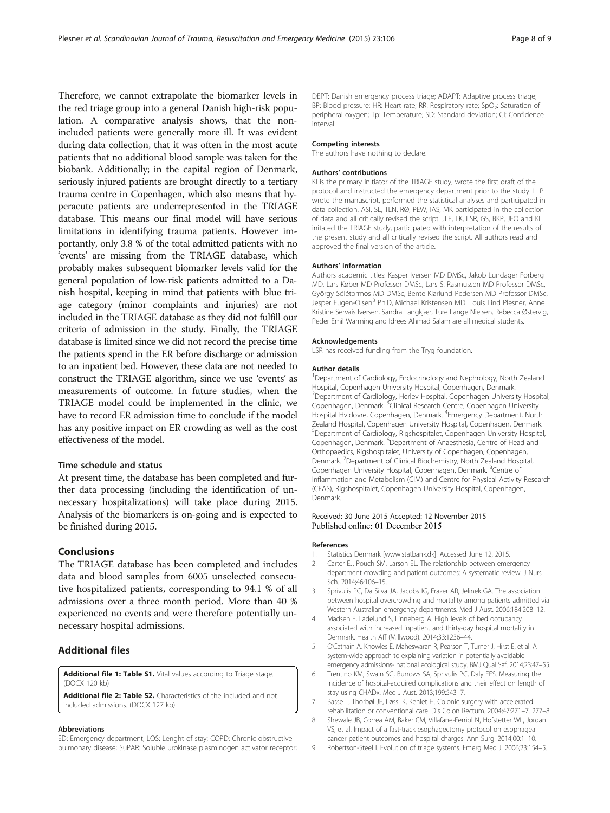<span id="page-7-0"></span>Therefore, we cannot extrapolate the biomarker levels in the red triage group into a general Danish high-risk population. A comparative analysis shows, that the nonincluded patients were generally more ill. It was evident during data collection, that it was often in the most acute patients that no additional blood sample was taken for the biobank. Additionally; in the capital region of Denmark, seriously injured patients are brought directly to a tertiary trauma centre in Copenhagen, which also means that hyperacute patients are underrepresented in the TRIAGE database. This means our final model will have serious limitations in identifying trauma patients. However importantly, only 3.8 % of the total admitted patients with no 'events' are missing from the TRIAGE database, which probably makes subsequent biomarker levels valid for the general population of low-risk patients admitted to a Danish hospital, keeping in mind that patients with blue triage category (minor complaints and injuries) are not included in the TRIAGE database as they did not fulfill our criteria of admission in the study. Finally, the TRIAGE database is limited since we did not record the precise time the patients spend in the ER before discharge or admission to an inpatient bed. However, these data are not needed to construct the TRIAGE algorithm, since we use 'events' as measurements of outcome. In future studies, when the TRIAGE model could be implemented in the clinic, we have to record ER admission time to conclude if the model has any positive impact on ER crowding as well as the cost effectiveness of the model.

# Time schedule and status

At present time, the database has been completed and further data processing (including the identification of unnecessary hospitalizations) will take place during 2015. Analysis of the biomarkers is on-going and is expected to be finished during 2015.

# Conclusions

The TRIAGE database has been completed and includes data and blood samples from 6005 unselected consecutive hospitalized patients, corresponding to 94.1 % of all admissions over a three month period. More than 40 % experienced no events and were therefore potentially unnecessary hospital admissions.

# Additional files

[Additional file 1: Table S1.](dx.doi.org/10.1186/s13049-015-0184-1) Vital values according to Triage stage. (DOCX 120 kb)

[Additional file 2: Table S2.](dx.doi.org/10.1186/s13049-015-0184-1) Characteristics of the included and not included admissions. (DOCX 127 kb)

#### Abbreviations

ED: Emergency department; LOS: Lenght of stay; COPD: Chronic obstructive pulmonary disease; SuPAR: Soluble urokinase plasminogen activator receptor; DEPT: Danish emergency process triage; ADAPT: Adaptive process triage; BP: Blood pressure; HR: Heart rate; RR: Respiratory rate; SpO<sub>2</sub>: Saturation of peripheral oxygen; Tp: Temperature; SD: Standard deviation; CI: Confidence interval.

#### Competing interests

The authors have nothing to declare.

#### Authors' contributions

KI is the primary initiator of the TRIAGE study, wrote the first draft of the protocol and instructed the emergency department prior to the study. LLP wrote the manuscript, performed the statistical analyses and participated in data collection. ASI, SL, TLN, RØ, PEW, IAS, MK participated in the collection of data and all critically revised the script. JLF, LK, LSR, GS, BKP, JEO and KI initated the TRIAGE study, participated with interpretation of the results of the present study and all critically revised the script. All authors read and approved the final version of the article.

#### Authors' information

Authors academic titles: Kasper Iversen MD DMSc, Jakob Lundager Forberg MD, Lars Køber MD Professor DMSc, Lars S. Rasmussen MD Professor DMSc, György Sölétormos MD DMSc, Bente Klarlund Pedersen MD Professor DMSc, Jesper Eugen-Olsen<sup>3</sup> Ph.D, Michael Kristensen MD. Louis Lind Plesner, Anne Kristine Servais Iversen, Sandra Langkjær, Ture Lange Nielsen, Rebecca Østervig, Peder Emil Warming and Idrees Ahmad Salam are all medical students.

#### Acknowledgements

LSR has received funding from the Tryg foundation.

#### Author details

<sup>1</sup>Department of Cardiology, Endocrinology and Nephrology, North Zealand Hospital, Copenhagen University Hospital, Copenhagen, Denmark. <sup>2</sup> Department of Cardiology, Herlev Hospital, Copenhagen University Hospital Copenhagen, Denmark. <sup>3</sup> Clinical Research Centre, Copenhagen University Hospital Hvidovre, Copenhagen, Denmark. <sup>4</sup>Emergency Department, North Zealand Hospital, Copenhagen University Hospital, Copenhagen, Denmark. 5 Department of Cardiology, Rigshospitalet, Copenhagen University Hospital, Copenhagen, Denmark. <sup>6</sup>Department of Anaesthesia, Centre of Head and Orthopaedics, Rigshospitalet, University of Copenhagen, Copenhagen, Denmark. <sup>7</sup>Department of Clinical Biochemistry, North Zealand Hospital Copenhagen University Hospital, Copenhagen, Denmark. <sup>8</sup>Centre of Inflammation and Metabolism (CIM) and Centre for Physical Activity Research (CFAS), Rigshospitalet, Copenhagen University Hospital, Copenhagen, Denmark.

#### Received: 30 June 2015 Accepted: 12 November 2015 Published online: 01 December 2015

#### References

- 1. Statistics Denmark [[www.statbank.dk](http://www.statbank.dk/)]. Accessed June 12, 2015.
- 2. Carter EJ, Pouch SM, Larson EL. The relationship between emergency department crowding and patient outcomes: A systematic review. J Nurs Sch. 2014;46:106–15.
- 3. Sprivulis PC, Da Silva JA, Jacobs IG, Frazer AR, Jelinek GA. The association between hospital overcrowding and mortality among patients admitted via Western Australian emergency departments. Med J Aust. 2006;184:208–12.
- 4. Madsen F, Ladelund S, Linneberg A. High levels of bed occupancy associated with increased inpatient and thirty-day hospital mortality in Denmark. Health Aff (Millwood). 2014;33:1236–44.
- 5. O'Cathain A, Knowles E, Maheswaran R, Pearson T, Turner J, Hirst E, et al. A system-wide approach to explaining variation in potentially avoidable emergency admissions- national ecological study. BMJ Qual Saf. 2014;23:47–55.
- 6. Trentino KM, Swain SG, Burrows SA, Sprivulis PC, Daly FFS. Measuring the incidence of hospital-acquired complications and their effect on length of stay using CHADx. Med J Aust. 2013;199:543–7.
- 7. Basse L, Thorbøl JE, Løssl K, Kehlet H. Colonic surgery with accelerated rehabilitation or conventional care. Dis Colon Rectum. 2004;47:271–7. 277–8.
- 8. Shewale JB, Correa AM, Baker CM, Villafane-Ferriol N, Hofstetter WL, Jordan VS, et al. Impact of a fast-track esophagectomy protocol on esophageal cancer patient outcomes and hospital charges. Ann Surg. 2014;00:1–10.
- 9. Robertson-Steel I. Evolution of triage systems. Emerg Med J. 2006;23:154–5.